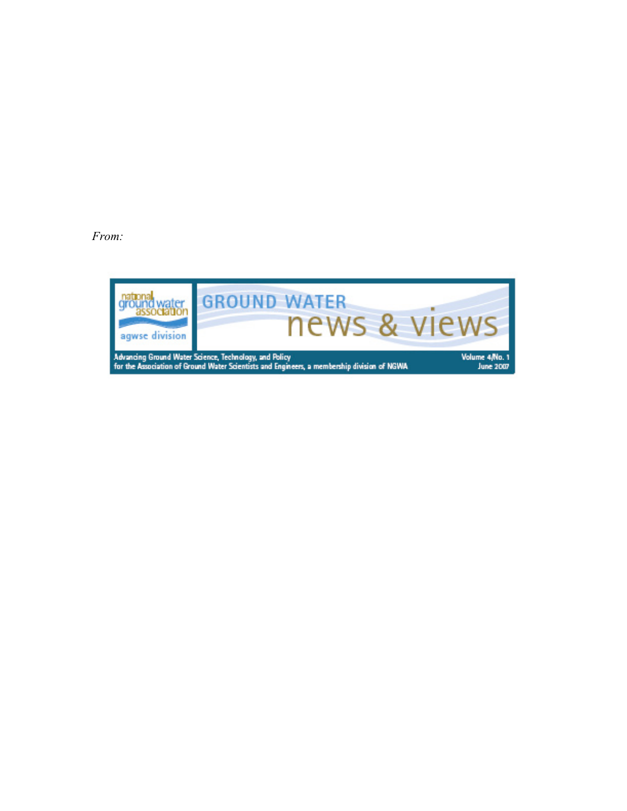*From:*

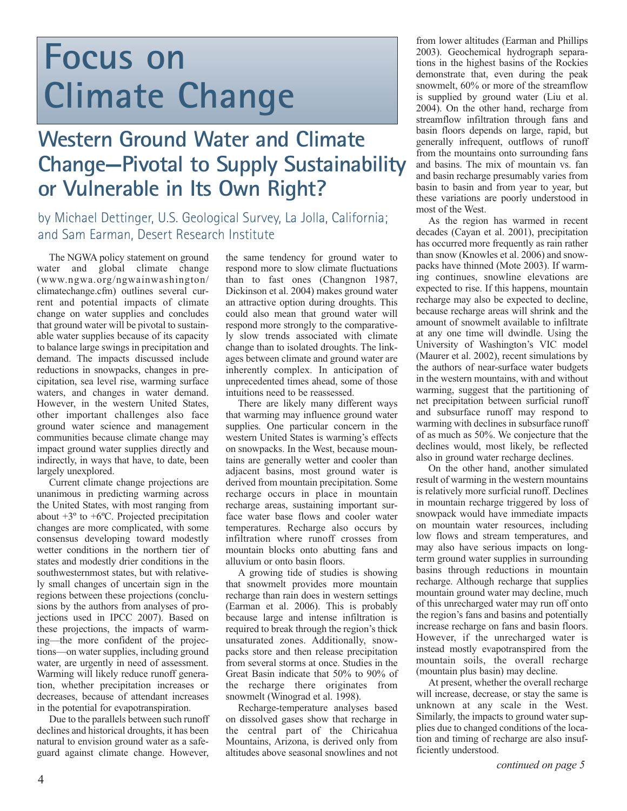# **Focus on Climate Change**

# **Western Ground Water and Climate Change—Pivotal to Supply Sustainability or Vulnerable in Its Own Right?**

### by Michael Dettinger, U.S. Geological Survey, La Jolla, California; and Sam Earman, Desert Research Institute

The NGWA policy statement on ground water and global climate change (www.ngwa.org/ngwainwashington/ climatechange.cfm) outlines several current and potential impacts of climate change on water supplies and concludes that ground water will be pivotal to sustainable water supplies because of its capacity to balance large swings in precipitation and demand. The impacts discussed include reductions in snowpacks, changes in precipitation, sea level rise, warming surface waters, and changes in water demand. However, in the western United States, other important challenges also face ground water science and management communities because climate change may impact ground water supplies directly and indirectly, in ways that have, to date, been largely unexplored.

Current climate change projections are unanimous in predicting warming across the United States, with most ranging from about  $+3^{\circ}$  to  $+6^{\circ}$ C. Projected precipitation changes are more complicated, with some consensus developing toward modestly wetter conditions in the northern tier of states and modestly drier conditions in the southwesternmost states, but with relatively small changes of uncertain sign in the regions between these projections (conclusions by the authors from analyses of projections used in IPCC 2007). Based on these projections, the impacts of warming—the more confident of the projections—on water supplies, including ground water, are urgently in need of assessment. Warming will likely reduce runoff generation, whether precipitation increases or decreases, because of attendant increases in the potential for evapotranspiration.

Due to the parallels between such runoff declines and historical droughts, it has been natural to envision ground water as a safeguard against climate change. However,

the same tendency for ground water to respond more to slow climate fluctuations than to fast ones (Changnon 1987, Dickinson et al. 2004) makes ground water an attractive option during droughts. This could also mean that ground water will respond more strongly to the comparatively slow trends associated with climate change than to isolated droughts. The linkages between climate and ground water are inherently complex. In anticipation of unprecedented times ahead, some of those intuitions need to be reassessed.

There are likely many different ways that warming may influence ground water supplies. One particular concern in the western United States is warming's effects on snowpacks. In the West, because mountains are generally wetter and cooler than adjacent basins, most ground water is derived from mountain precipitation. Some recharge occurs in place in mountain recharge areas, sustaining important surface water base flows and cooler water temperatures. Recharge also occurs by infiltration where runoff crosses from mountain blocks onto abutting fans and alluvium or onto basin floors.

A growing tide of studies is showing that snowmelt provides more mountain recharge than rain does in western settings (Earman et al. 2006). This is probably because large and intense infiltration is required to break through the region's thick unsaturated zones. Additionally, snowpacks store and then release precipitation from several storms at once. Studies in the Great Basin indicate that 50% to 90% of the recharge there originates from snowmelt (Winograd et al. 1998).

Recharge-temperature analyses based on dissolved gases show that recharge in the central part of the Chiricahua Mountains, Arizona, is derived only from altitudes above seasonal snowlines and not

from lower altitudes (Earman and Phillips 2003). Geochemical hydrograph separations in the highest basins of the Rockies demonstrate that, even during the peak snowmelt, 60% or more of the streamflow is supplied by ground water (Liu et al. 2004). On the other hand, recharge from streamflow infiltration through fans and basin floors depends on large, rapid, but generally infrequent, outflows of runoff from the mountains onto surrounding fans and basins. The mix of mountain vs. fan and basin recharge presumably varies from basin to basin and from year to year, but these variations are poorly understood in most of the West.

As the region has warmed in recent decades (Cayan et al. 2001), precipitation has occurred more frequently as rain rather than snow (Knowles et al. 2006) and snowpacks have thinned (Mote 2003). If warming continues, snowline elevations are expected to rise. If this happens, mountain recharge may also be expected to decline, because recharge areas will shrink and the amount of snowmelt available to infiltrate at any one time will dwindle. Using the University of Washington's VIC model (Maurer et al. 2002), recent simulations by the authors of near-surface water budgets in the western mountains, with and without warming, suggest that the partitioning of net precipitation between surficial runoff and subsurface runoff may respond to warming with declines in subsurface runoff of as much as 50%. We conjecture that the declines would, most likely, be reflected also in ground water recharge declines.

On the other hand, another simulated result of warming in the western mountains is relatively more surficial runoff. Declines in mountain recharge triggered by loss of snowpack would have immediate impacts on mountain water resources, including low flows and stream temperatures, and may also have serious impacts on longterm ground water supplies in surrounding basins through reductions in mountain recharge. Although recharge that supplies mountain ground water may decline, much of this unrecharged water may run off onto the region's fans and basins and potentially increase recharge on fans and basin floors. However, if the unrecharged water is instead mostly evapotranspired from the mountain soils, the overall recharge (mountain plus basin) may decline.

At present, whether the overall recharge will increase, decrease, or stay the same is unknown at any scale in the West. Similarly, the impacts to ground water supplies due to changed conditions of the location and timing of recharge are also insufficiently understood.